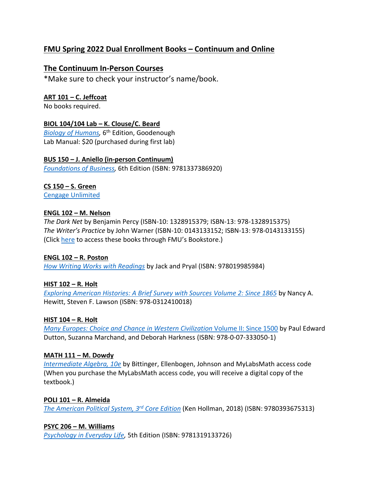# **FMU Spring 2022 Dual Enrollment Books – Continuum and Online**

# **The Continuum In-Person Courses**

\*Make sure to check your instructor's name/book.

# **ART 101 – C. Jeffcoat**

No books required.

## **BIOL 104/104 Lab – K. Clouse/C. Beard**

*[Biology of Humans,](https://www.bkstr.com/francismarionstore/course-materials-results?shopBy=course&divisionDisplayName=&departmentDisplayName=BIOL&courseDisplayName=104§ionDisplayName=ON&programId=789&termId=100071892)* 6 th Edition, Goodenough Lab Manual: \$20 (purchased during first lab)

## **BUS 150 – J. Aniello (in-person Continuum)**

*[Foundations of Business,](https://www.bkstr.com/francismarionstore/course-materials-results?shopBy=course&divisionDisplayName=&departmentDisplayName=BUSI&courseDisplayName=150§ionDisplayName=LC1&programId=789&termId=100071892)* 6th Edition (ISBN: 9781337386920)

## **CS 150 – S. Green**

[Cengage Unlimited](https://www.bkstr.com/francismarionstore/course-materials-results?shopBy=course&divisionDisplayName=&departmentDisplayName=CS&courseDisplayName=150§ionDisplayName=LC&programId=789&termId=100071892)

## **ENGL 102 – M. Nelson**

*The Dark Net* by Benjamin Percy (ISBN-10: 1328915379; ISBN-13: 978-1328915375) *The Writer's Practice* by John Warner (ISBN-10: 0143133152; ISBN-13: 978-0143133155) (Click [here](https://www.bkstr.com/francismarionstore/course-materials-results?shopBy=course&divisionDisplayName=&departmentDisplayName=ENGL&courseDisplayName=102§ionDisplayName=LC1&programId=789&termId=100071892) to access these books through FMU's Bookstore.)

#### **ENGL 102 – R. Poston**

*[How Writing Works with Readings](https://www.bkstr.com/francismarionstore/product/how-writing-works-with-readings-888296-1)* by Jack and Pryal (ISBN: 978019985984)

# **HIST 102 – R. Holt**

*[Exploring American Histories: A Brief Survey with Sources Volume 2: Since 1865](https://www.bkstr.com/francismarionstore/course-materials-results?shopBy=course&divisionDisplayName=&departmentDisplayName=HIST&courseDisplayName=102§ionDisplayName=LC1&programId=789&termId=100071892)* b[y Nancy A.](https://smile.amazon.com/s/ref=dp_byline_sr_book_1?ie=UTF8&field-author=Nancy+A.+Hewitt&text=Nancy+A.+Hewitt&sort=relevancerank&search-alias=books)  [Hewitt,](https://smile.amazon.com/s/ref=dp_byline_sr_book_1?ie=UTF8&field-author=Nancy+A.+Hewitt&text=Nancy+A.+Hewitt&sort=relevancerank&search-alias=books) [Steven F. Lawson](https://smile.amazon.com/s/ref=dp_byline_sr_book_2?ie=UTF8&field-author=Steven+F.+Lawson&text=Steven+F.+Lawson&sort=relevancerank&search-alias=books) (ISBN: 978-0312410018)

#### **HIST 104 – R. Holt**

*[Many Europes: Choice and Chance in Western Civilization](https://www.bkstr.com/francismarionstore/course-materials-results?shopBy=course&divisionDisplayName=&departmentDisplayName=HIST&courseDisplayName=104§ionDisplayName=LC&programId=789&termId=100071892)* Volume II: Since 1500 by Paul Edward Dutton, Suzanna Marchand, and Deborah Harkness (ISBN: 978-0-07-333050-1)

#### **MATH 111 – M. Dowdy**

*[Intermediate Algebra, 10e](https://www.bkstr.com/francismarionstore/product/intermediate-algebra--mymathlab-standalone-access-card--41425-1)* by Bittinger, Ellenbogen, Johnson and MyLabsMath access code (When you purchase the MyLabsMath access code, you will receive a digital copy of the textbook.)

#### **POLI 101 – R. Almeida**

*[The American Political System, 3](https://www.bkstr.com/francismarionstore/product/the-american-political-system--core-third-edition--2018-election-update--840187-1)rd Core Edition* (Ken Hollman, 2018) (ISBN: 9780393675313)

#### **PSYC 206 – M. Williams**

*[Psychology in Everyday Life,](https://www.bkstr.com/francismarionstore/course-materials-results?shopBy=course&divisionDisplayName=&departmentDisplayName=PSYC&courseDisplayName=206§ionDisplayName=LC1&programId=789&termId=100071892)* 5th Edition (ISBN: 9781319133726)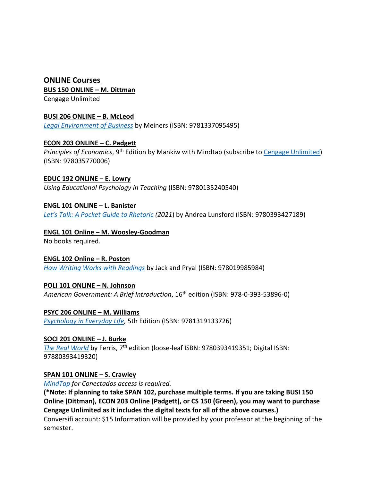# **ONLINE Courses BUS 150 ONLINE – M. Dittman**

Cengage Unlimited

## **BUSI 206 ONLINE – B. McLeod**

*[Legal Environment of Business](https://www.bkstr.com/francismarionstore/course-materials-results?shopBy=course&divisionDisplayName=&departmentDisplayName=BUSI&courseDisplayName=206§ionDisplayName=LC&programId=789&termId=100071892)* by Meiners (ISBN: 9781337095495)

# **ECON 203 ONLINE – C. Padgett**

*Principles of Economics*, 9<sup>th</sup> Edition by Mankiw with Mindtap (subscribe to [Cengage Unlimited\)](https://www.bkstr.com/francismarionstore/course-materials-results?shopBy=course&divisionDisplayName=&departmentDisplayName=ECON&courseDisplayName=203§ionDisplayName=ON&programId=789&termId=100071892) (ISBN: 978035770006)

## **EDUC 192 ONLINE – E. Lowry**

*Using Educational Psychology in Teaching* (ISBN: 9780135240540)

# **ENGL 101 ONLINE – L. Banister**

*[Let's Talk: A Pocket Guide to Rhetoric](https://www.bkstr.com/francismarionstore/product/let-s-talk----a-pocket-rhetoric--w--registration-access-code-card--805010-1) (2021*) by Andrea Lunsford (ISBN: 9780393427189)

# **ENGL 101 Online – M. Woosley-Goodman**

No books required.

#### **ENGL 102 Online – R. Poston**

*[How Writing Works with Readings](https://www.bkstr.com/francismarionstore/product/how-writing-works-with-readings-888296-1)* by Jack and Pryal (ISBN: 978019985984)

# **POLI 101 ONLINE – N. Johnson**

*American Government: A Brief Introduction*, 16th edition (ISBN: 978-0-393-53896-0)

# **PSYC 206 ONLINE – M. Williams**

*[Psychology in Everyday Life,](https://www.bkstr.com/francismarionstore/course-materials-results?shopBy=course&divisionDisplayName=&departmentDisplayName=PSYC&courseDisplayName=206§ionDisplayName=LC1&programId=789&termId=100071892)* 5th Edition (ISBN: 9781319133726)

# **SOCI 201 ONLINE – J. Burke**

*[The Real World](https://www.bkstr.com/francismarionstore/course-materials-results?shopBy=course&divisionDisplayName=&departmentDisplayName=SOCI&courseDisplayName=201§ionDisplayName=2&programId=789&termId=100071892)* by Ferris, 7th edition (loose-leaf ISBN: 9780393419351; Digital ISBN: 97880393419320)

# **SPAN 101 ONLINE – S. Crawley**

*[MindTap](https://www.cengage.com/c/conectados-communication-manual-2e-marinelli/9780357030226PF/) for Conectados access is required.* 

**(\*Note: If planning to take SPAN 102, purchase multiple terms. If you are taking BUSI 150 Online (Dittman), ECON 203 Online (Padgett), or CS 150 (Green), you may want to purchase Cengage Unlimited as it includes the digital texts for all of the above courses.)**  Conversifi account: \$15 Information will be provided by your professor at the beginning of the semester.